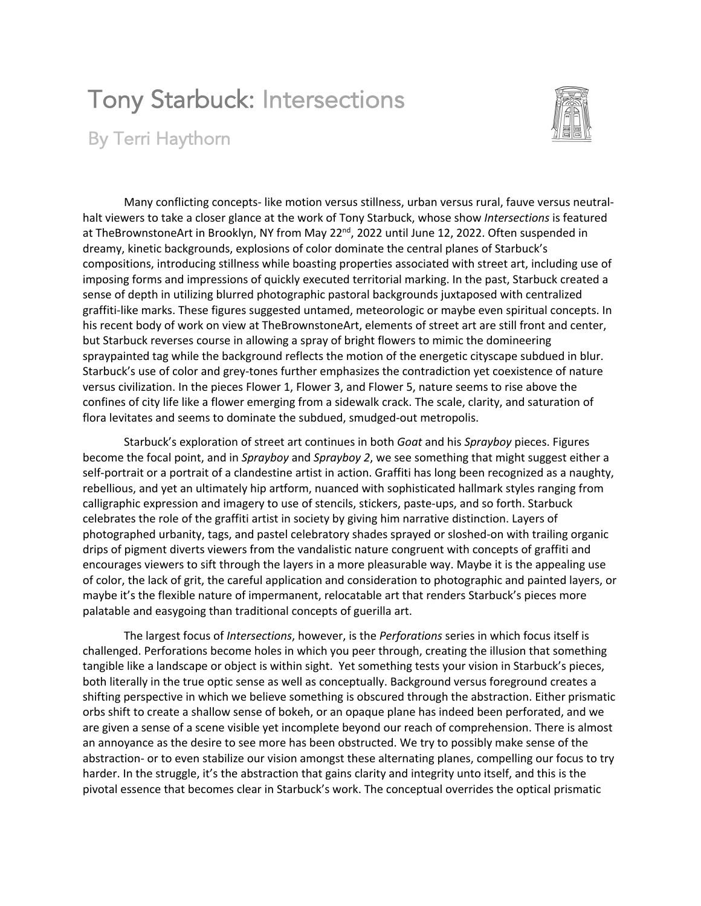## Tony Starbuck: Intersections



By Terri Haythorn

Many conflicting concepts- like motion versus stillness, urban versus rural, fauve versus neutralhalt viewers to take a closer glance at the work of Tony Starbuck, whose show *Intersections* is featured at TheBrownstoneArt in Brooklyn, NY from May 22<sup>nd</sup>, 2022 until June 12, 2022. Often suspended in dreamy, kinetic backgrounds, explosions of color dominate the central planes of Starbuck's compositions, introducing stillness while boasting properties associated with street art, including use of imposing forms and impressions of quickly executed territorial marking. In the past, Starbuck created a sense of depth in utilizing blurred photographic pastoral backgrounds juxtaposed with centralized graffiti-like marks. These figures suggested untamed, meteorologic or maybe even spiritual concepts. In his recent body of work on view at TheBrownstoneArt, elements of street art are still front and center, but Starbuck reverses course in allowing a spray of bright flowers to mimic the domineering spraypainted tag while the background reflects the motion of the energetic cityscape subdued in blur. Starbuck's use of color and grey-tones further emphasizes the contradiction yet coexistence of nature versus civilization. In the pieces Flower 1, Flower 3, and Flower 5, nature seems to rise above the confines of city life like a flower emerging from a sidewalk crack. The scale, clarity, and saturation of flora levitates and seems to dominate the subdued, smudged-out metropolis.

Starbuck's exploration of street art continues in both *Goat* and his *Sprayboy* pieces. Figures become the focal point, and in *Sprayboy* and *Sprayboy 2*, we see something that might suggest either a self-portrait or a portrait of a clandestine artist in action. Graffiti has long been recognized as a naughty, rebellious, and yet an ultimately hip artform, nuanced with sophisticated hallmark styles ranging from calligraphic expression and imagery to use of stencils, stickers, paste-ups, and so forth. Starbuck celebrates the role of the graffiti artist in society by giving him narrative distinction. Layers of photographed urbanity, tags, and pastel celebratory shades sprayed or sloshed-on with trailing organic drips of pigment diverts viewers from the vandalistic nature congruent with concepts of graffiti and encourages viewers to sift through the layers in a more pleasurable way. Maybe it is the appealing use of color, the lack of grit, the careful application and consideration to photographic and painted layers, or maybe it's the flexible nature of impermanent, relocatable art that renders Starbuck's pieces more palatable and easygoing than traditional concepts of guerilla art.

The largest focus of *Intersections*, however, is the *Perforations* series in which focus itself is challenged. Perforations become holes in which you peer through, creating the illusion that something tangible like a landscape or object is within sight. Yet something tests your vision in Starbuck's pieces, both literally in the true optic sense as well as conceptually. Background versus foreground creates a shifting perspective in which we believe something is obscured through the abstraction. Either prismatic orbs shift to create a shallow sense of bokeh, or an opaque plane has indeed been perforated, and we are given a sense of a scene visible yet incomplete beyond our reach of comprehension. There is almost an annoyance as the desire to see more has been obstructed. We try to possibly make sense of the abstraction- or to even stabilize our vision amongst these alternating planes, compelling our focus to try harder. In the struggle, it's the abstraction that gains clarity and integrity unto itself, and this is the pivotal essence that becomes clear in Starbuck's work. The conceptual overrides the optical prismatic